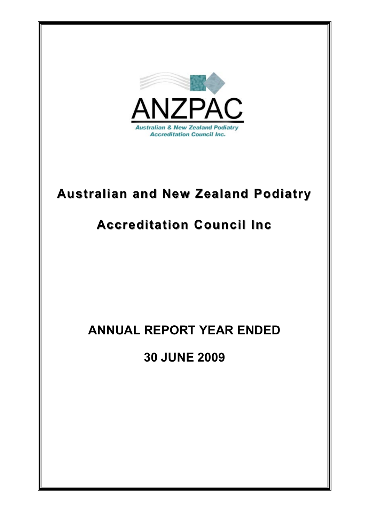

# **Australian and New Zealand Podiatry Australian and New Zealand Podiatry**

# **Accreditation Council Inc Accreditation Council Inc**

# **ANNUAL REPORT YEAR ENDED**

**30 JUNE 2009**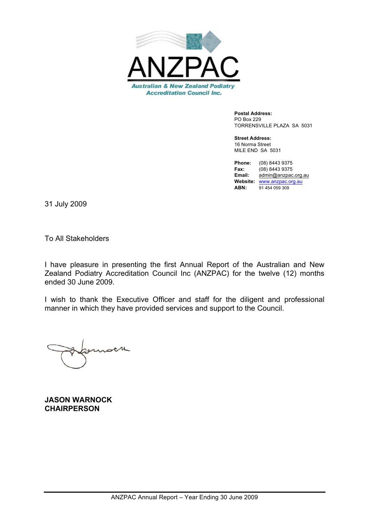

**Postal Address:** PO Box 229 TORRENSVILLE PLAZA SA 5031

**Street Address:** 16 Norma Street MILE END SA 5031

**Phone:** (08) 8443 9375 **Fax:** (08) 8443 9375<br>**Email:** admin@anznac **Email:** admin@anzpac.org.au **Website:** www.anzpac.org.au **ABN:** 91 454 059 309

31 July 2009

To All Stakeholders

I have pleasure in presenting the first Annual Report of the Australian and New Zealand Podiatry Accreditation Council Inc (ANZPAC) for the twelve (12) months ended 30 June 2009.

I wish to thank the Executive Officer and staff for the diligent and professional manner in which they have provided services and support to the Council.

 $\lambda$ 

**JASON WARNOCK CHAIRPERSON**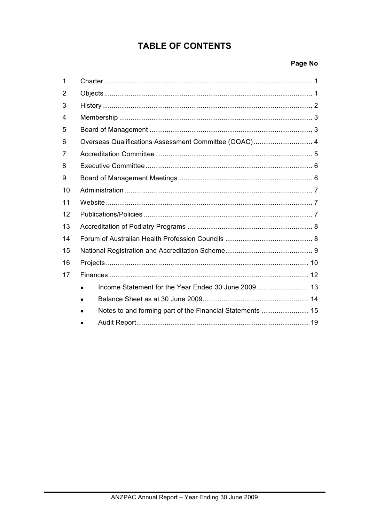## **TABLE OF CONTENTS**

## Page No

| 1  |                                                       |
|----|-------------------------------------------------------|
| 2  |                                                       |
| 3  |                                                       |
| 4  |                                                       |
| 5  |                                                       |
| 6  | Overseas Qualifications Assessment Committee (OQAC) 4 |
| 7  |                                                       |
| 8  |                                                       |
| 9  |                                                       |
| 10 |                                                       |
| 11 |                                                       |
| 12 |                                                       |
| 13 |                                                       |
| 14 |                                                       |
| 15 |                                                       |
| 16 |                                                       |
| 17 |                                                       |
|    |                                                       |
|    |                                                       |
|    |                                                       |
|    |                                                       |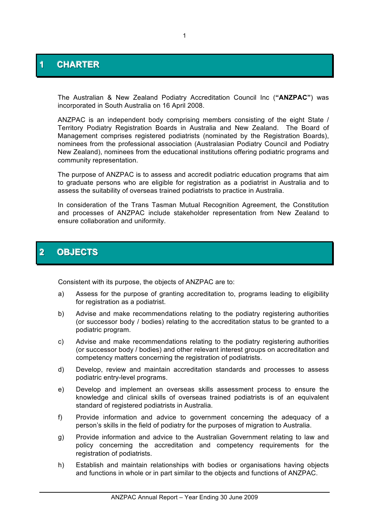## **1 CHARTER**

The Australian & New Zealand Podiatry Accreditation Council Inc (**"ANZPAC"**) was incorporated in South Australia on 16 April 2008.

ANZPAC is an independent body comprising members consisting of the eight State / Territory Podiatry Registration Boards in Australia and New Zealand. The Board of Management comprises registered podiatrists (nominated by the Registration Boards), nominees from the professional association (Australasian Podiatry Council and Podiatry New Zealand), nominees from the educational institutions offering podiatric programs and community representation.

The purpose of ANZPAC is to assess and accredit podiatric education programs that aim to graduate persons who are eligible for registration as a podiatrist in Australia and to assess the suitability of overseas trained podiatrists to practice in Australia.

In consideration of the Trans Tasman Mutual Recognition Agreement, the Constitution and processes of ANZPAC include stakeholder representation from New Zealand to ensure collaboration and uniformity.

## **2 OBJECTS**

Consistent with its purpose, the objects of ANZPAC are to:

- a) Assess for the purpose of granting accreditation to, programs leading to eligibility for registration as a podiatrist.
- b) Advise and make recommendations relating to the podiatry registering authorities (or successor body / bodies) relating to the accreditation status to be granted to a podiatric program.
- c) Advise and make recommendations relating to the podiatry registering authorities (or successor body / bodies) and other relevant interest groups on accreditation and competency matters concerning the registration of podiatrists.
- d) Develop, review and maintain accreditation standards and processes to assess podiatric entry-level programs.
- e) Develop and implement an overseas skills assessment process to ensure the knowledge and clinical skills of overseas trained podiatrists is of an equivalent standard of registered podiatrists in Australia.
- f) Provide information and advice to government concerning the adequacy of a person's skills in the field of podiatry for the purposes of migration to Australia.
- g) Provide information and advice to the Australian Government relating to law and policy concerning the accreditation and competency requirements for the registration of podiatrists.
- h) Establish and maintain relationships with bodies or organisations having objects and functions in whole or in part similar to the objects and functions of ANZPAC.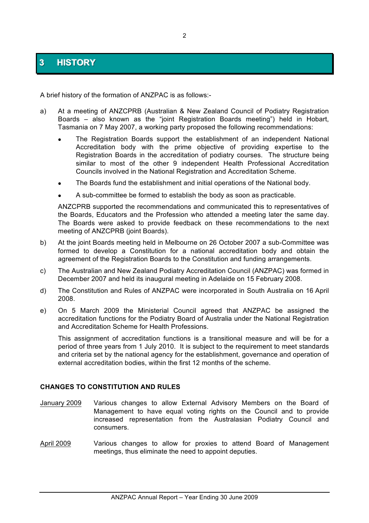## **3 HISTORY**

A brief history of the formation of ANZPAC is as follows:-

- a) At a meeting of ANZCPRB (Australian & New Zealand Council of Podiatry Registration Boards – also known as the "joint Registration Boards meeting") held in Hobart, Tasmania on 7 May 2007, a working party proposed the following recommendations:
	- The Registration Boards support the establishment of an independent National Accreditation body with the prime objective of providing expertise to the Registration Boards in the accreditation of podiatry courses. The structure being similar to most of the other 9 independent Health Professional Accreditation Councils involved in the National Registration and Accreditation Scheme.
	- The Boards fund the establishment and initial operations of the National body.
	- ! A sub-committee be formed to establish the body as soon as practicable.

ANZCPRB supported the recommendations and communicated this to representatives of the Boards, Educators and the Profession who attended a meeting later the same day. The Boards were asked to provide feedback on these recommendations to the next meeting of ANZCPRB (joint Boards).

- b) At the joint Boards meeting held in Melbourne on 26 October 2007 a sub-Committee was formed to develop a Constitution for a national accreditation body and obtain the agreement of the Registration Boards to the Constitution and funding arrangements.
- c) The Australian and New Zealand Podiatry Accreditation Council (ANZPAC) was formed in December 2007 and held its inaugural meeting in Adelaide on 15 February 2008.
- d) The Constitution and Rules of ANZPAC were incorporated in South Australia on 16 April 2008.
- e) On 5 March 2009 the Ministerial Council agreed that ANZPAC be assigned the accreditation functions for the Podiatry Board of Australia under the National Registration and Accreditation Scheme for Health Professions.

This assignment of accreditation functions is a transitional measure and will be for a period of three years from 1 July 2010. It is subject to the requirement to meet standards and criteria set by the national agency for the establishment, governance and operation of external accreditation bodies, within the first 12 months of the scheme.

### **CHANGES TO CONSTITUTION AND RULES**

- January 2009 Various changes to allow External Advisory Members on the Board of Management to have equal voting rights on the Council and to provide increased representation from the Australasian Podiatry Council and consumers.
- April 2009 Various changes to allow for proxies to attend Board of Management meetings, thus eliminate the need to appoint deputies.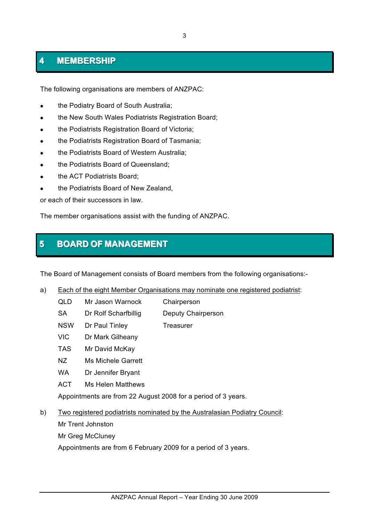# **<sup>3</sup> FUNCTIONS OF THE BOARD 44 MMEEMMBBEERRSSHHIIPP**

The following organisations are members of ANZPAC:

- the Podiatry Board of South Australia;
- the New South Wales Podiatrists Registration Board;
- the Podiatrists Registration Board of Victoria;
- the Podiatrists Registration Board of Tasmania;
- the Podiatrists Board of Western Australia;
- . the Podiatrists Board of Queensland;
- the ACT Podiatrists Board:
- the Podiatrists Board of New Zealand.

or each of their successors in law.

The member organisations assist with the funding of ANZPAC.

## **5 BOARD OF MANAGEMENT**

The Board of Management consists of Board members from the following organisations:-

- a) Each of the eight Member Organisations may nominate one registered podiatrist:
	- QLD Mr Jason Warnock Chairperson
	- SA Dr Rolf Scharfbillig Deputy Chairperson
	- NSW Dr Paul Tinley Treasurer
	- VIC Dr Mark Gilheany
	- TAS Mr David McKay
	- NZ Ms Michele Garrett
	- WA Dr Jennifer Bryant
	- ACT Ms Helen Matthews

Appointments are from 22 August 2008 for a period of 3 years.

b) Two registered podiatrists nominated by the Australasian Podiatry Council:

Mr Trent Johnston

Mr Greg McCluney

Appointments are from 6 February 2009 for a period of 3 years.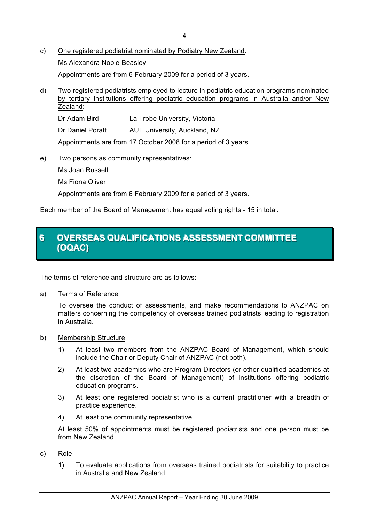- c) One registered podiatrist nominated by Podiatry New Zealand: Ms Alexandra Noble-Beasley Appointments are from 6 February 2009 for a period of 3 years.
- d) Two registered podiatrists employed to lecture in podiatric education programs nominated by tertiary institutions offering podiatric education programs in Australia and/or New Zealand:

Dr Adam Bird La Trobe University, Victoria

Dr Daniel Poratt AUT University, Auckland, NZ

Appointments are from 17 October 2008 for a period of 3 years.

e) Two persons as community representatives: Ms Joan Russell

Ms Fiona Oliver

Appointments are from 6 February 2009 for a period of 3 years.

Each member of the Board of Management has equal voting rights - 15 in total.

## **6 OVERSEAS QUALIFICATIONS ASSESSMENT COMMITTEE (OQAC)**

The terms of reference and structure are as follows:

a) Terms of Reference

To oversee the conduct of assessments, and make recommendations to ANZPAC on matters concerning the competency of overseas trained podiatrists leading to registration in Australia.

- b) Membership Structure
	- 1) At least two members from the ANZPAC Board of Management, which should include the Chair or Deputy Chair of ANZPAC (not both).
	- 2) At least two academics who are Program Directors (or other qualified academics at the discretion of the Board of Management) of institutions offering podiatric education programs.
	- 3) At least one registered podiatrist who is a current practitioner with a breadth of practice experience.
	- 4) At least one community representative.

At least 50% of appointments must be registered podiatrists and one person must be from New Zealand.

- c) Role
	- 1) To evaluate applications from overseas trained podiatrists for suitability to practice in Australia and New Zealand.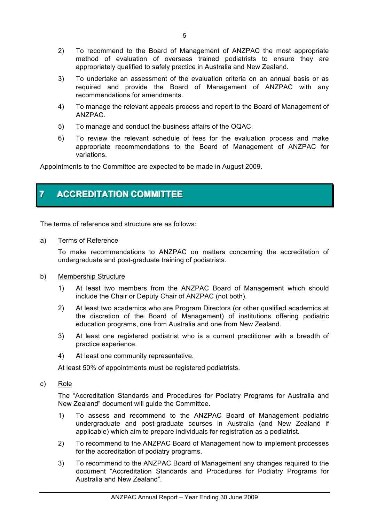- 2) To recommend to the Board of Management of ANZPAC the most appropriate method of evaluation of overseas trained podiatrists to ensure they are appropriately qualified to safely practice in Australia and New Zealand.
- 3) To undertake an assessment of the evaluation criteria on an annual basis or as required and provide the Board of Management of ANZPAC with any recommendations for amendments.
- 4) To manage the relevant appeals process and report to the Board of Management of ANZPAC.
- 5) To manage and conduct the business affairs of the OQAC.
- 6) To review the relevant schedule of fees for the evaluation process and make appropriate recommendations to the Board of Management of ANZPAC for variations.

Appointments to the Committee are expected to be made in August 2009.

## **7** ACCREDITATION COMMITTEE

The terms of reference and structure are as follows:

a) Terms of Reference

To make recommendations to ANZPAC on matters concerning the accreditation of undergraduate and post-graduate training of podiatrists.

- b) Membership Structure
	- 1) At least two members from the ANZPAC Board of Management which should include the Chair or Deputy Chair of ANZPAC (not both).
	- 2) At least two academics who are Program Directors (or other qualified academics at the discretion of the Board of Management) of institutions offering podiatric education programs, one from Australia and one from New Zealand.
	- 3) At least one registered podiatrist who is a current practitioner with a breadth of practice experience.
	- 4) At least one community representative.

At least 50% of appointments must be registered podiatrists.

c) Role

The "Accreditation Standards and Procedures for Podiatry Programs for Australia and New Zealand" document will guide the Committee.

- 1) To assess and recommend to the ANZPAC Board of Management podiatric undergraduate and post-graduate courses in Australia (and New Zealand if applicable) which aim to prepare individuals for registration as a podiatrist.
- 2) To recommend to the ANZPAC Board of Management how to implement processes for the accreditation of podiatry programs.
- 3) To recommend to the ANZPAC Board of Management any changes required to the document "Accreditation Standards and Procedures for Podiatry Programs for Australia and New Zealand".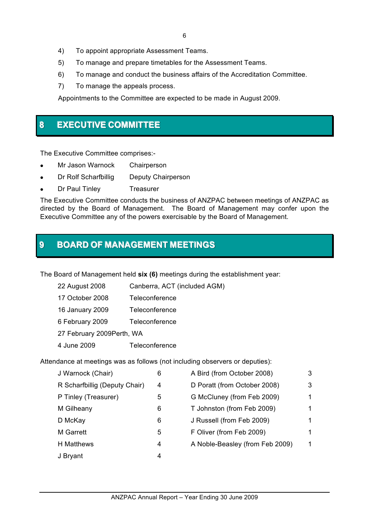- 4) To appoint appropriate Assessment Teams.
- 5) To manage and prepare timetables for the Assessment Teams.
- 6) To manage and conduct the business affairs of the Accreditation Committee.
- 7) To manage the appeals process.

Appointments to the Committee are expected to be made in August 2009.

## **8 EXECUTIVE COMMITTEE**

The Executive Committee comprises:-

- Mr Jason Warnock Chairperson
- Dr Rolf Scharfbillig Deputy Chairperson
- Dr Paul Tinley Treasurer

The Executive Committee conducts the business of ANZPAC between meetings of ANZPAC as directed by the Board of Management. The Board of Management may confer upon the Executive Committee any of the powers exercisable by the Board of Management.

## **9 BOARD OF MANAGEMENT MEETINGS**

The Board of Management held **six (6)** meetings during the establishment year:

| 22 August 2008             | Canberra, ACT (included AGM) |  |  |
|----------------------------|------------------------------|--|--|
| 17 October 2008            | Teleconference               |  |  |
| 16 January 2009            | Teleconference               |  |  |
| 6 February 2009            | Teleconference               |  |  |
| 27 February 2009 Perth, WA |                              |  |  |
| 4 June 2009                | Teleconference               |  |  |

Attendance at meetings was as follows (not including observers or deputies):

| J Warnock (Chair)             | 6 | A Bird (from October 2008)      | 3 |
|-------------------------------|---|---------------------------------|---|
| R Scharfbillig (Deputy Chair) | 4 | D Poratt (from October 2008)    | 3 |
| P Tinley (Treasurer)          | 5 | G McCluney (from Feb 2009)      |   |
| M Gilheany                    | 6 | T Johnston (from Feb 2009)      |   |
| D McKay                       | 6 | J Russell (from Feb 2009)       |   |
| <b>M</b> Garrett              | 5 | F Oliver (from Feb 2009)        |   |
| H Matthews                    | 4 | A Noble-Beasley (from Feb 2009) | 1 |
| J Bryant                      | 4 |                                 |   |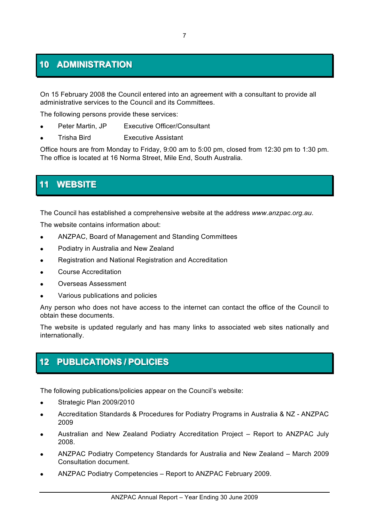## **10 ADMINISTRATION**

On 15 February 2008 the Council entered into an agreement with a consultant to provide all administrative services to the Council and its Committees.

The following persons provide these services:

- Peter Martin, JP Executive Officer/Consultant
- ! Trisha Bird Executive Assistant

Office hours are from Monday to Friday, 9:00 am to 5:00 pm, closed from 12:30 pm to 1:30 pm. The office is located at 16 Norma Street, Mile End, South Australia.

## **11 WEBSITE**

The Council has established a comprehensive website at the address *www.anzpac.org.au*.

The website contains information about:

- ! ANZPAC, Board of Management and Standing Committees
- **.** Podiatry in Australia and New Zealand
- ! Registration and National Registration and Accreditation
- ! Course Accreditation
- ! Overseas Assessment
- Various publications and policies

Any person who does not have access to the internet can contact the office of the Council to obtain these documents.

The website is updated regularly and has many links to associated web sites nationally and internationally.

## **12 PUBLICATIONS / POLICIES**

The following publications/policies appear on the Council's website:

- Strategic Plan 2009/2010
- ! Accreditation Standards & Procedures for Podiatry Programs in Australia & NZ ANZPAC 2009
- ! Australian and New Zealand Podiatry Accreditation Project Report to ANZPAC July 2008.
- ! ANZPAC Podiatry Competency Standards for Australia and New Zealand March 2009 Consultation document.
- ! ANZPAC Podiatry Competencies Report to ANZPAC February 2009.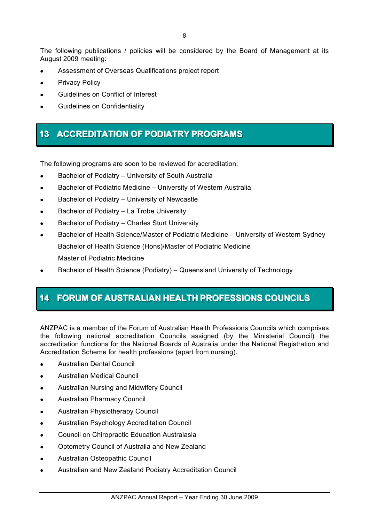The following publications / policies will be considered by the Board of Management at its August 2009 meeting:

- ! Assessment of Overseas Qualifications project report
- Privacy Policy
- Guidelines on Conflict of Interest
- Guidelines on Confidentiality

## **13 ACCREDITATION OF PODIATRY PROGRAMS**

The following programs are soon to be reviewed for accreditation:

- Bachelor of Podiatry University of South Australia
- ! Bachelor of Podiatric Medicine University of Western Australia
- **.** Bachelor of Podiatry University of Newcastle
- Bachelor of Podiatry La Trobe University
- Bachelor of Podiatry Charles Sturt University
- ! Bachelor of Health Science/Master of Podiatric Medicine University of Western Sydney Bachelor of Health Science (Hons)/Master of Podiatric Medicine Master of Podiatric Medicine
- ! Bachelor of Health Science (Podiatry) Queensland University of Technology

## **14 FORUM OF AUSTRALIAN HEALTH PROFESSIONS COUNCILS**

ANZPAC is a member of the Forum of Australian Health Professions Councils which comprises the following national accreditation Councils assigned (by the Ministerial Council) the accreditation functions for the National Boards of Australia under the National Registration and Accreditation Scheme for health professions (apart from nursing).

- ! Australian Dental Council
- ! Australian Medical Council
- **.** Australian Nursing and Midwifery Council
- ! Australian Pharmacy Council
- ! Australian Physiotherapy Council
- ! Australian Psychology Accreditation Council
- Council on Chiropractic Education Australasia
- ! Optometry Council of Australia and New Zealand
- ! Australian Osteopathic Council
- ! Australian and New Zealand Podiatry Accreditation Council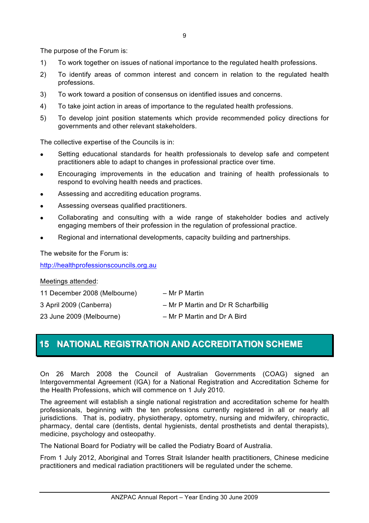The purpose of the Forum is:

- 1) To work together on issues of national importance to the regulated health professions.
- 2) To identify areas of common interest and concern in relation to the regulated health professions.
- 3) To work toward a position of consensus on identified issues and concerns.
- 4) To take joint action in areas of importance to the regulated health professions.
- 5) To develop joint position statements which provide recommended policy directions for governments and other relevant stakeholders.

The collective expertise of the Councils is in:

- Setting educational standards for health professionals to develop safe and competent practitioners able to adapt to changes in professional practice over time.
- ! Encouraging improvements in the education and training of health professionals to respond to evolving health needs and practices.
- ! Assessing and accrediting education programs.
- Assessing overseas qualified practitioners.
- ! Collaborating and consulting with a wide range of stakeholder bodies and actively engaging members of their profession in the regulation of professional practice.
- Regional and international developments, capacity building and partnerships.

The website for the Forum is:

http://healthprofessionscouncils.org.au

Meetings attended:

11 December 2008 (Melbourne) – Mr P Martin

- 3 April 2009 (Canberra) Mr P Martin and Dr R Scharfbillig
- 
- 23 June 2009 (Melbourne) Mr P Martin and Dr A Bird

## **15 NATIONAL REGISTRATION AND ACCREDITATION SCHEME**

On 26 March 2008 the Council of Australian Governments (COAG) signed an Intergovernmental Agreement (IGA) for a National Registration and Accreditation Scheme for the Health Professions, which will commence on 1 July 2010.

The agreement will establish a single national registration and accreditation scheme for health professionals, beginning with the ten professions currently registered in all or nearly all jurisdictions. That is, podiatry, physiotherapy, optometry, nursing and midwifery, chiropractic, pharmacy, dental care (dentists, dental hygienists, dental prosthetists and dental therapists), medicine, psychology and osteopathy.

The National Board for Podiatry will be called the Podiatry Board of Australia.

From 1 July 2012, Aboriginal and Torres Strait Islander health practitioners, Chinese medicine practitioners and medical radiation practitioners will be regulated under the scheme.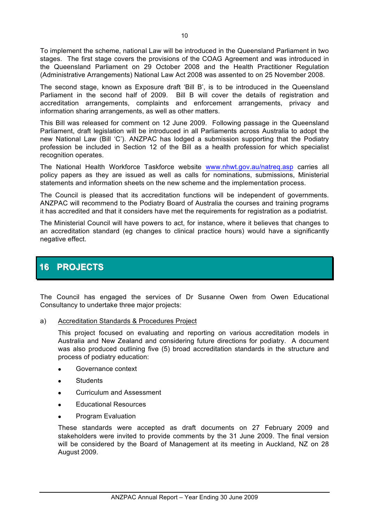To implement the scheme, national Law will be introduced in the Queensland Parliament in two stages. The first stage covers the provisions of the COAG Agreement and was introduced in the Queensland Parliament on 29 October 2008 and the Health Practitioner Regulation (Administrative Arrangements) National Law Act 2008 was assented to on 25 November 2008.

The second stage, known as Exposure draft 'Bill B', is to be introduced in the Queensland Parliament in the second half of 2009. Bill B will cover the details of registration and accreditation arrangements, complaints and enforcement arrangements, privacy and information sharing arrangements, as well as other matters.

This Bill was released for comment on 12 June 2009. Following passage in the Queensland Parliament, draft legislation will be introduced in all Parliaments across Australia to adopt the new National Law (Bill 'C'). ANZPAC has lodged a submission supporting that the Podiatry profession be included in Section 12 of the Bill as a health profession for which specialist recognition operates.

The National Health Workforce Taskforce website www.nhwt.gov.au/natreq.asp carries all policy papers as they are issued as well as calls for nominations, submissions, Ministerial statements and information sheets on the new scheme and the implementation process.

The Council is pleased that its accreditation functions will be independent of governments. ANZPAC will recommend to the Podiatry Board of Australia the courses and training programs it has accredited and that it considers have met the requirements for registration as a podiatrist.

The Ministerial Council will have powers to act, for instance, where it believes that changes to an accreditation standard (eg changes to clinical practice hours) would have a significantly negative effect.

## **16 PROJECTS**

The Council has engaged the services of Dr Susanne Owen from Owen Educational Consultancy to undertake three major projects:

a) Accreditation Standards & Procedures Project

This project focused on evaluating and reporting on various accreditation models in Australia and New Zealand and considering future directions for podiatry. A document was also produced outlining five (5) broad accreditation standards in the structure and process of podiatry education:

- Governance context
- **.** Students
- Curriculum and Assessment
- ! Educational Resources
- ! Program Evaluation

These standards were accepted as draft documents on 27 February 2009 and stakeholders were invited to provide comments by the 31 June 2009. The final version will be considered by the Board of Management at its meeting in Auckland, NZ on 28 August 2009.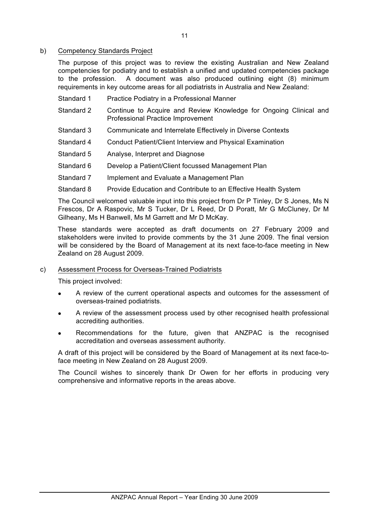### b) Competency Standards Project

The purpose of this project was to review the existing Australian and New Zealand competencies for podiatry and to establish a unified and updated competencies package to the profession. A document was also produced outlining eight (8) minimum requirements in key outcome areas for all podiatrists in Australia and New Zealand:

- Standard 1 Practice Podiatry in a Professional Manner
- Standard 2 Continue to Acquire and Review Knowledge for Ongoing Clinical and Professional Practice Improvement
- Standard 3 Communicate and Interrelate Effectively in Diverse Contexts
- Standard 4 Conduct Patient/Client Interview and Physical Examination
- Standard 5 Analyse, Interpret and Diagnose
- Standard 6 Develop a Patient/Client focussed Management Plan
- Standard 7 Implement and Evaluate a Management Plan
- Standard 8 Provide Education and Contribute to an Effective Health System

The Council welcomed valuable input into this project from Dr P Tinley, Dr S Jones, Ms N Frescos, Dr A Raspovic, Mr S Tucker, Dr L Reed, Dr D Poratt, Mr G McCluney, Dr M Gilheany, Ms H Banwell, Ms M Garrett and Mr D McKay.

These standards were accepted as draft documents on 27 February 2009 and stakeholders were invited to provide comments by the 31 June 2009. The final version will be considered by the Board of Management at its next face-to-face meeting in New Zealand on 28 August 2009.

### c) Assessment Process for Overseas-Trained Podiatrists

This project involved:

- ! A review of the current operational aspects and outcomes for the assessment of overseas-trained podiatrists.
- ! A review of the assessment process used by other recognised health professional accrediting authorities.
- Recommendations for the future, given that ANZPAC is the recognised accreditation and overseas assessment authority.

A draft of this project will be considered by the Board of Management at its next face-toface meeting in New Zealand on 28 August 2009.

The Council wishes to sincerely thank Dr Owen for her efforts in producing very comprehensive and informative reports in the areas above.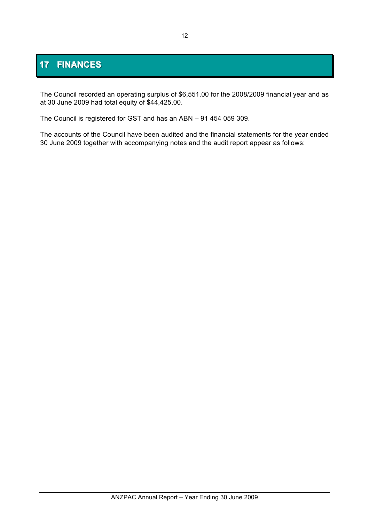# **17 FINANCES**

The Council recorded an operating surplus of \$6,551.00 for the 2008/2009 financial year and as at 30 June 2009 had total equity of \$44,425.00.

The Council is registered for GST and has an ABN – 91 454 059 309.

The accounts of the Council have been audited and the financial statements for the year ended 30 June 2009 together with accompanying notes and the audit report appear as follows: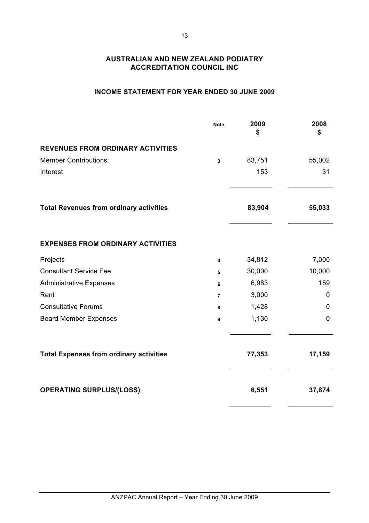### **INCOME STATEMENT FOR YEAR ENDED 30 JUNE 2009**

|                                                | <b>Note</b>    | 2009<br>\$ | 2008<br>\$  |
|------------------------------------------------|----------------|------------|-------------|
| <b>REVENUES FROM ORDINARY ACTIVITIES</b>       |                |            |             |
| <b>Member Contributions</b>                    | 3              | 83,751     | 55,002      |
| Interest                                       |                | 153        | 31          |
| <b>Total Revenues from ordinary activities</b> |                | 83,904     | 55,033      |
| <b>EXPENSES FROM ORDINARY ACTIVITIES</b>       |                |            |             |
| Projects                                       | 4              | 34,812     | 7,000       |
| <b>Consultant Service Fee</b>                  | 5              | 30,000     | 10,000      |
| <b>Administrative Expenses</b>                 | 6              | 6,983      | 159         |
| Rent                                           | $\overline{7}$ | 3,000      | $\mathbf 0$ |
| <b>Consultative Forums</b>                     | 8              | 1,428      | 0           |
| <b>Board Member Expenses</b>                   | 9              | 1,130      | 0           |
| <b>Total Expenses from ordinary activities</b> |                | 77,353     | 17,159      |
| <b>OPERATING SURPLUS/(LOSS)</b>                |                | 6,551      | 37,874      |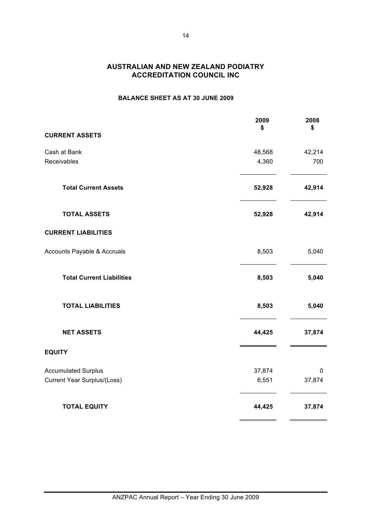### **BALANCE SHEET AS AT 30 JUNE 2009**

|                                    | 2009<br>\$ | 2008<br>\$  |
|------------------------------------|------------|-------------|
| <b>CURRENT ASSETS</b>              |            |             |
| Cash at Bank                       | 48,568     | 42,214      |
| Receivables                        | 4,360      | 700         |
| <b>Total Current Assets</b>        | 52,928     | 42,914      |
| <b>TOTAL ASSETS</b>                | 52,928     | 42,914      |
| <b>CURRENT LIABILITIES</b>         |            |             |
| Accounts Payable & Accruals        | 8,503      | 5,040       |
| <b>Total Current Liabilities</b>   | 8,503      | 5,040       |
| <b>TOTAL LIABILITIES</b>           | 8,503      | 5,040       |
| <b>NET ASSETS</b>                  | 44,425     | 37,874      |
| <b>EQUITY</b>                      |            |             |
| <b>Accumulated Surplus</b>         | 37,874     | $\mathbf 0$ |
| <b>Current Year Surplus/(Loss)</b> | 6,551      | 37,874      |
| <b>TOTAL EQUITY</b>                | 44,425     | 37,874      |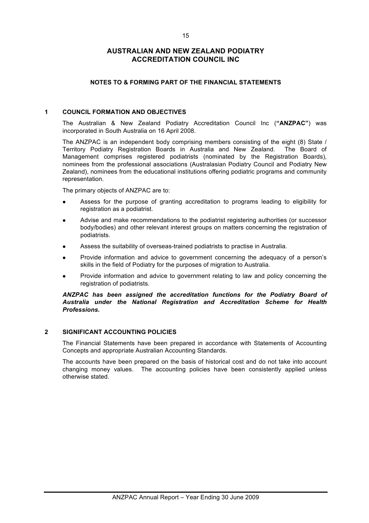### **NOTES TO & FORMING PART OF THE FINANCIAL STATEMENTS**

#### **1 COUNCIL FORMATION AND OBJECTIVES**

The Australian & New Zealand Podiatry Accreditation Council Inc (**"ANZPAC"**) was incorporated in South Australia on 16 April 2008.

The ANZPAC is an independent body comprising members consisting of the eight (8) State / Territory Podiatry Registration Boards in Australia and New Zealand. The Board of Management comprises registered podiatrists (nominated by the Registration Boards), nominees from the professional associations (Australasian Podiatry Council and Podiatry New Zealand), nominees from the educational institutions offering podiatric programs and community representation.

The primary objects of ANZPAC are to:

- ! Assess for the purpose of granting accreditation to programs leading to eligibility for registration as a podiatrist.
- ! Advise and make recommendations to the podiatrist registering authorities (or successor body/bodies) and other relevant interest groups on matters concerning the registration of podiatrists.
- ! Assess the suitability of overseas-trained podiatrists to practise in Australia.
- ! Provide information and advice to government concerning the adequacy of a person's skills in the field of Podiatry for the purposes of migration to Australia.
- ! Provide information and advice to government relating to law and policy concerning the registration of podiatrists.

*ANZPAC has been assigned the accreditation functions for the Podiatry Board of Australia under the National Registration and Accreditation Scheme for Health Professions.*

#### **2 SIGNIFICANT ACCOUNTING POLICIES**

The Financial Statements have been prepared in accordance with Statements of Accounting Concepts and appropriate Australian Accounting Standards.

The accounts have been prepared on the basis of historical cost and do not take into account changing money values. The accounting policies have been consistently applied unless otherwise stated.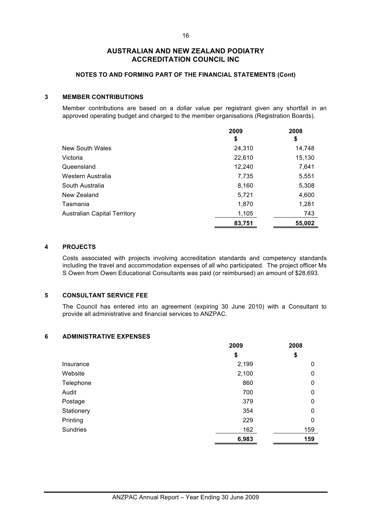#### **NOTES TO AND FORMING PART OF THE FINANCIAL STATEMENTS (Cont)**

#### **3 MEMBER CONTRIBUTIONS**

Member contributions are based on a dollar value per registrant given any shortfall in an approved operating budget and charged to the member organisations (Registration Boards).

|                              | 2009   | 2008   |
|------------------------------|--------|--------|
|                              | \$     | \$     |
| New South Wales              | 24,310 | 14,748 |
| Victoria                     | 22,610 | 15,130 |
| Queensland                   | 12,240 | 7,641  |
| Western Australia            | 7,735  | 5,551  |
| South Australia              | 8,160  | 5,308  |
| New Zealand                  | 5,721  | 4,600  |
| Tasmania                     | 1,870  | 1,281  |
| Australian Capital Territory | 1,105  | 743    |
|                              | 83,751 | 55,002 |

### **4 PROJECTS**

Costs associated with projects involving accreditation standards and competency standards including the travel and accommodation expenses of all who participated. The project officer Ms S Owen from Owen Educational Consultants was paid (or reimbursed) an amount of \$28,693.

#### **5 CONSULTANT SERVICE FEE**

The Council has entered into an agreement (expiring 30 June 2010) with a Consultant to provide all administrative and financial services to ANZPAC.

#### **6 ADMINISTRATIVE EXPENSES**

|                 | 2009  | 2008 |
|-----------------|-------|------|
|                 | \$    | \$   |
| Insurance       | 2,199 | 0    |
| Website         | 2,100 | 0    |
| Telephone       | 860   | 0    |
| Audit           | 700   | 0    |
| Postage         | 379   | 0    |
| Stationery      | 354   | 0    |
| Printing        | 229   | 0    |
| <b>Sundries</b> | 162   | 159  |
|                 | 6,983 | 159  |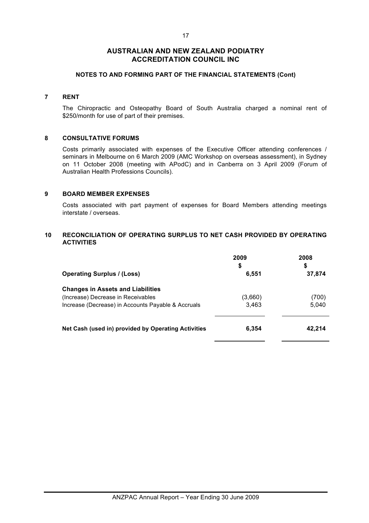### 17

### **AUSTRALIAN AND NEW ZEALAND PODIATRY ACCREDITATION COUNCIL INC**

### **NOTES TO AND FORMING PART OF THE FINANCIAL STATEMENTS (Cont)**

### **7 RENT**

The Chiropractic and Osteopathy Board of South Australia charged a nominal rent of \$250/month for use of part of their premises.

#### **8 CONSULTATIVE FORUMS**

Costs primarily associated with expenses of the Executive Officer attending conferences / seminars in Melbourne on 6 March 2009 (AMC Workshop on overseas assessment), in Sydney on 11 October 2008 (meeting with APodC) and in Canberra on 3 April 2009 (Forum of Australian Health Professions Councils).

#### **9 BOARD MEMBER EXPENSES**

Costs associated with part payment of expenses for Board Members attending meetings interstate / overseas.

### **10 RECONCILIATION OF OPERATING SURPLUS TO NET CASH PROVIDED BY OPERATING ACTIVITIES**

|                                                     | 2009<br>\$ | 2008<br>\$ |
|-----------------------------------------------------|------------|------------|
| <b>Operating Surplus / (Loss)</b>                   | 6,551      | 37,874     |
| <b>Changes in Assets and Liabilities</b>            |            |            |
| (Increase) Decrease in Receivables                  | (3,660)    | (700)      |
| Increase (Decrease) in Accounts Payable & Accruals  | 3.463      | 5,040      |
| Net Cash (used in) provided by Operating Activities | 6,354      | 42.214     |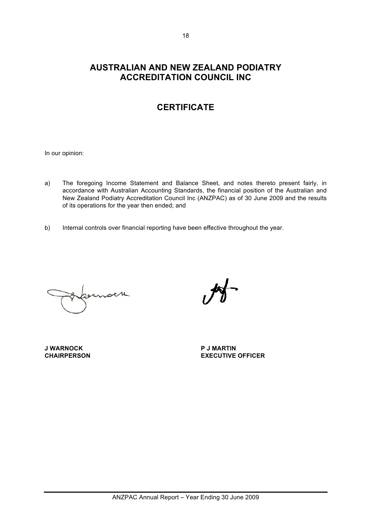## **CERTIFICATE**

In our opinion:

- a) The foregoing Income Statement and Balance Sheet, and notes thereto present fairly, in accordance with Australian Accounting Standards, the financial position of the Australian and New Zealand Podiatry Accreditation Council Inc (ANZPAC) as of 30 June 2009 and the results of its operations for the year then ended; and
- b) Internal controls over financial reporting have been effective throughout the year.

**J WARNOCK P J MARTIN**

**CHAIRPERSON EXECUTIVE OFFICER**